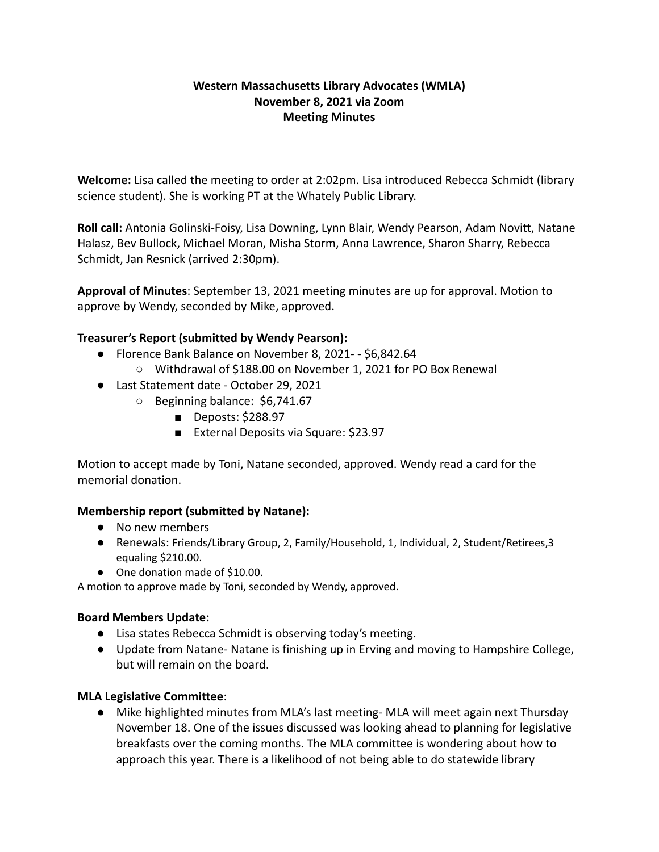# **Western Massachusetts Library Advocates (WMLA) November 8, 2021 via Zoom Meeting Minutes**

**Welcome:** Lisa called the meeting to order at 2:02pm. Lisa introduced Rebecca Schmidt (library science student). She is working PT at the Whately Public Library.

**Roll call:** Antonia Golinski-Foisy, Lisa Downing, Lynn Blair, Wendy Pearson, Adam Novitt, Natane Halasz, Bev Bullock, Michael Moran, Misha Storm, Anna Lawrence, Sharon Sharry, Rebecca Schmidt, Jan Resnick (arrived 2:30pm).

**Approval of Minutes**: September 13, 2021 meeting minutes are up for approval. Motion to approve by Wendy, seconded by Mike, approved.

# **Treasurer's Report (submitted by Wendy Pearson):**

- Florence Bank Balance on November 8, 2021- \$6,842.64
	- Withdrawal of \$188.00 on November 1, 2021 for PO Box Renewal
- Last Statement date October 29, 2021
	- Beginning balance: \$6,741.67
		- Deposts: \$288.97
		- External Deposits via Square: \$23.97

Motion to accept made by Toni, Natane seconded, approved. Wendy read a card for the memorial donation.

# **Membership report (submitted by Natane):**

- No new members
- Renewals: Friends/Library Group, 2, Family/Household, 1, Individual, 2, Student/Retirees,3 equaling \$210.00.
- One donation made of \$10.00.

A motion to approve made by Toni, seconded by Wendy, approved.

# **Board Members Update:**

- Lisa states Rebecca Schmidt is observing today's meeting.
- Update from Natane- Natane is finishing up in Erving and moving to Hampshire College, but will remain on the board.

# **MLA Legislative Committee**:

● Mike highlighted minutes from MLA's last meeting- MLA will meet again next Thursday November 18. One of the issues discussed was looking ahead to planning for legislative breakfasts over the coming months. The MLA committee is wondering about how to approach this year. There is a likelihood of not being able to do statewide library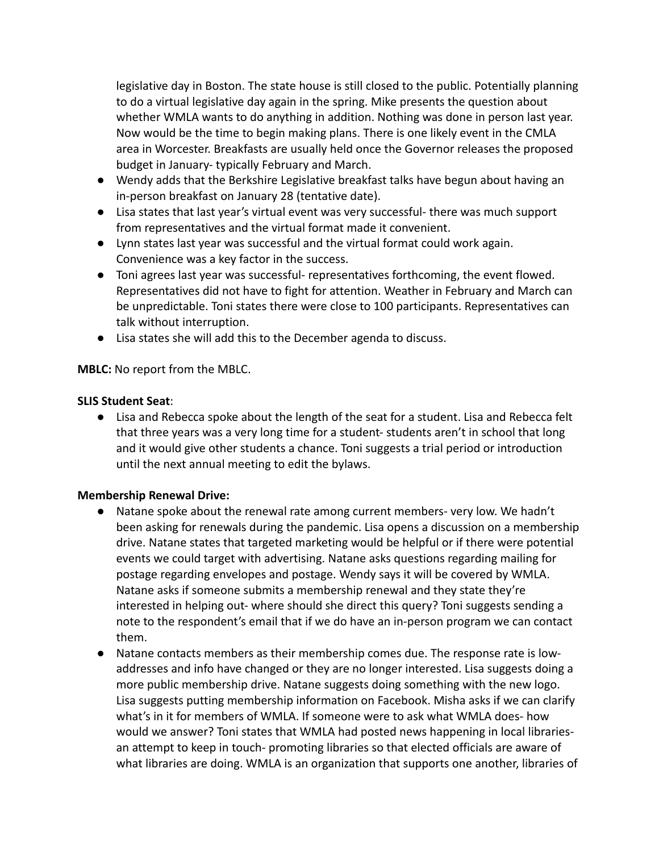legislative day in Boston. The state house is still closed to the public. Potentially planning to do a virtual legislative day again in the spring. Mike presents the question about whether WMLA wants to do anything in addition. Nothing was done in person last year. Now would be the time to begin making plans. There is one likely event in the CMLA area in Worcester. Breakfasts are usually held once the Governor releases the proposed budget in January- typically February and March.

- Wendy adds that the Berkshire Legislative breakfast talks have begun about having an in-person breakfast on January 28 (tentative date).
- Lisa states that last year's virtual event was very successful- there was much support from representatives and the virtual format made it convenient.
- Lynn states last year was successful and the virtual format could work again. Convenience was a key factor in the success.
- Toni agrees last year was successful- representatives forthcoming, the event flowed. Representatives did not have to fight for attention. Weather in February and March can be unpredictable. Toni states there were close to 100 participants. Representatives can talk without interruption.
- Lisa states she will add this to the December agenda to discuss.

**MBLC:** No report from the MBLC.

### **SLIS Student Seat**:

● Lisa and Rebecca spoke about the length of the seat for a student. Lisa and Rebecca felt that three years was a very long time for a student- students aren't in school that long and it would give other students a chance. Toni suggests a trial period or introduction until the next annual meeting to edit the bylaws.

### **Membership Renewal Drive:**

- Natane spoke about the renewal rate among current members- very low. We hadn't been asking for renewals during the pandemic. Lisa opens a discussion on a membership drive. Natane states that targeted marketing would be helpful or if there were potential events we could target with advertising. Natane asks questions regarding mailing for postage regarding envelopes and postage. Wendy says it will be covered by WMLA. Natane asks if someone submits a membership renewal and they state they're interested in helping out- where should she direct this query? Toni suggests sending a note to the respondent's email that if we do have an in-person program we can contact them.
- Natane contacts members as their membership comes due. The response rate is lowaddresses and info have changed or they are no longer interested. Lisa suggests doing a more public membership drive. Natane suggests doing something with the new logo. Lisa suggests putting membership information on Facebook. Misha asks if we can clarify what's in it for members of WMLA. If someone were to ask what WMLA does- how would we answer? Toni states that WMLA had posted news happening in local librariesan attempt to keep in touch- promoting libraries so that elected officials are aware of what libraries are doing. WMLA is an organization that supports one another, libraries of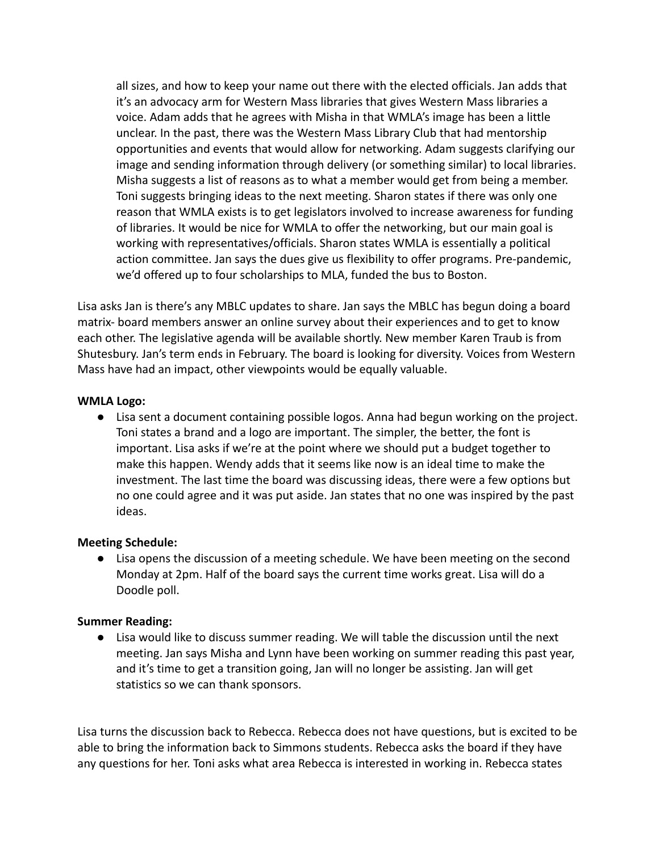all sizes, and how to keep your name out there with the elected officials. Jan adds that it's an advocacy arm for Western Mass libraries that gives Western Mass libraries a voice. Adam adds that he agrees with Misha in that WMLA's image has been a little unclear. In the past, there was the Western Mass Library Club that had mentorship opportunities and events that would allow for networking. Adam suggests clarifying our image and sending information through delivery (or something similar) to local libraries. Misha suggests a list of reasons as to what a member would get from being a member. Toni suggests bringing ideas to the next meeting. Sharon states if there was only one reason that WMLA exists is to get legislators involved to increase awareness for funding of libraries. It would be nice for WMLA to offer the networking, but our main goal is working with representatives/officials. Sharon states WMLA is essentially a political action committee. Jan says the dues give us flexibility to offer programs. Pre-pandemic, we'd offered up to four scholarships to MLA, funded the bus to Boston.

Lisa asks Jan is there's any MBLC updates to share. Jan says the MBLC has begun doing a board matrix- board members answer an online survey about their experiences and to get to know each other. The legislative agenda will be available shortly. New member Karen Traub is from Shutesbury. Jan's term ends in February. The board is looking for diversity. Voices from Western Mass have had an impact, other viewpoints would be equally valuable.

### **WMLA Logo:**

● Lisa sent a document containing possible logos. Anna had begun working on the project. Toni states a brand and a logo are important. The simpler, the better, the font is important. Lisa asks if we're at the point where we should put a budget together to make this happen. Wendy adds that it seems like now is an ideal time to make the investment. The last time the board was discussing ideas, there were a few options but no one could agree and it was put aside. Jan states that no one was inspired by the past ideas.

### **Meeting Schedule:**

● Lisa opens the discussion of a meeting schedule. We have been meeting on the second Monday at 2pm. Half of the board says the current time works great. Lisa will do a Doodle poll.

### **Summer Reading:**

● Lisa would like to discuss summer reading. We will table the discussion until the next meeting. Jan says Misha and Lynn have been working on summer reading this past year, and it's time to get a transition going, Jan will no longer be assisting. Jan will get statistics so we can thank sponsors.

Lisa turns the discussion back to Rebecca. Rebecca does not have questions, but is excited to be able to bring the information back to Simmons students. Rebecca asks the board if they have any questions for her. Toni asks what area Rebecca is interested in working in. Rebecca states